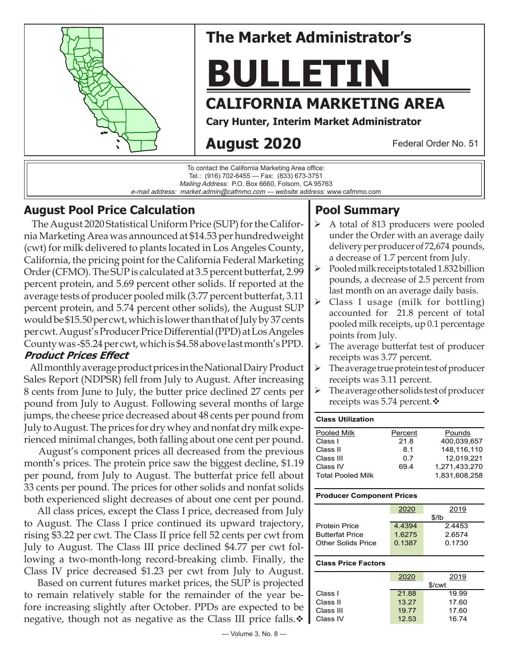

# **The Market Administrator's**

# **BULLETIN**

# **CALIFORNIA MARKETING AREA**

**Cary Hunter, Interim Market Administrator**

# **August 2020**

Federal Order No. 51

To contact the California Marketing Area office: Tel.: (916) 702-6455 — Fax: (833) 673-3751 Mailing Address: P.O. Box 6660, Folsom, CA 95763 e-mail address: market.admin@cafmmo.com — *website address*: www.cafmmo.com

## **August Pool Price Calculation**

 The August 2020 Statistical Uniform Price (SUP) for the California Marketing Area was announced at \$14.53 per hundredweight (cwt) for milk delivered to plants located in Los Angeles County, California, the pricing point for the California Federal Marketing Order (CFMO). The SUP is calculated at 3.5 percent butterfat, 2.99 percent protein, and 5.69 percent other solids. If reported at the average tests of producer pooled milk (3.77 percent butterfat, 3.11 percent protein, and 5.74 percent other solids), the August SUP would be \$15.50 per cwt, which is lower than that of July by 37 cents per cwt. August's Producer Price Differential (PPD) at Los Angeles County was -\$5.24 per cwt, which is \$4.58 above last month's PPD.

#### **Product Prices Effect**

 All monthly average product prices in the National Dairy Product Sales Report (NDPSR) fell from July to August. After increasing 8 cents from June to July, the butter price declined 27 cents per pound from July to August. Following several months of large jumps, the cheese price decreased about 48 cents per pound from July to August. The prices for dry whey and nonfat dry milk experienced minimal changes, both falling about one cent per pound.

 August's component prices all decreased from the previous month's prices. The protein price saw the biggest decline, \$1.19 per pound, from July to August. The butterfat price fell about 33 cents per pound. The prices for other solids and nonfat solids both experienced slight decreases of about one cent per pound.

 All class prices, except the Class I price, decreased from July to August. The Class I price continued its upward trajectory, rising \$3.22 per cwt. The Class II price fell 52 cents per cwt from July to August. The Class III price declined \$4.77 per cwt following a two-month-long record-breaking climb. Finally, the Class IV price decreased \$1.23 per cwt from July to August.

 Based on current futures market prices, the SUP is projected to remain relatively stable for the remainder of the year before increasing slightly after October. PPDs are expected to be negative, though not as negative as the Class III price falls. $\cdot \cdot$ 

# Class I usage (milk for bottling)

accounted for 21.8 percent of total pooled milk receipts, up 0.1 percentage points from July.

 $\triangleright$  A total of 813 producers were pooled under the Order with an average daily delivery per producer of 72,674 pounds, a decrease of 1.7 percent from July.  $\triangleright$  Pooled milk receipts totaled 1.832 billion pounds, a decrease of 2.5 percent from last month on an average daily basis.

- $\triangleright$  The average butterfat test of producer receipts was 3.77 percent.
- The average true protein test of producer receipts was 3.11 percent.
- $\triangleright$  The average other solids test of producer receipts was 5.74 percent. $\mathbf{\hat{v}}$

#### **Class Utilization**

**Pool Summary**

| Pooled Milk              | Percent | Pounds        |
|--------------------------|---------|---------------|
| Class I                  | 21.8    | 400.039.657   |
| Class II                 | 8.1     | 148.116.110   |
| Class III                | 0.7     | 12.019.221    |
| Class IV                 | 69.4    | 1.271.433.270 |
| <b>Total Pooled Milk</b> |         | 1.831.608.258 |

#### **Producer Component Prices**

|                        | 2020      | 2019    |
|------------------------|-----------|---------|
|                        |           | $$$ /lb |
| <b>Protein Price</b>   | 4 4 3 9 4 | 2.4453  |
| <b>Butterfat Price</b> | 1.6275    | 2.6574  |
| Other Solids Price     | 0.1387    | 0.1730  |
|                        |           |         |

#### **Class Price Factors**

| 2020  | 2019   |
|-------|--------|
|       | \$/cwt |
| 21.88 | 19.99  |
| 13.27 | 17.60  |
| 19.77 | 17.60  |
| 12.53 | 16.74  |
|       |        |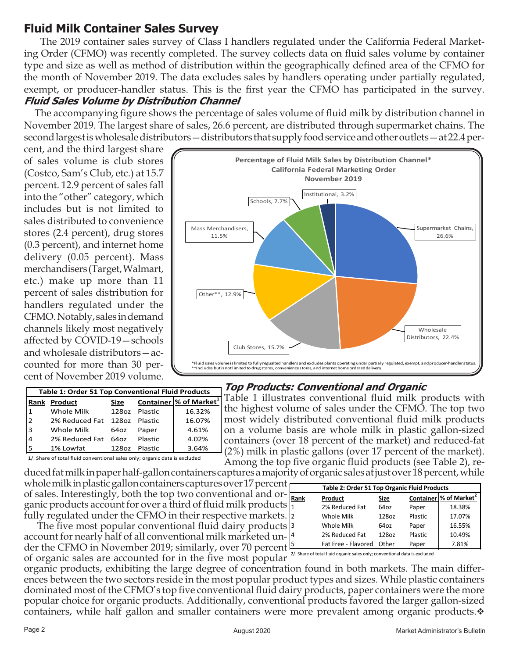## **Fluid Milk Container Sales Survey**

 The 2019 container sales survey of Class I handlers regulated under the California Federal Marketing Order (CFMO) was recently completed. The survey collects data on fluid sales volume by container type and size as well as method of distribution within the geographically defined area of the CFMO for the month of November 2019. The data excludes sales by handlers operating under partially regulated, exempt, or producer-handler status. This is the first year the CFMO has participated in the survey. **Fluid Sales Volume by Distribution Channel**

 The accompanying figure shows the percentage of sales volume of fluid milk by distribution channel in November 2019. The largest share of sales, 26.6 percent, are distributed through supermarket chains. The second largest is wholesale distributors — distributors that supply food service and other outlets — at 22.4 per-

cent, and the third largest share of sales volume is club stores (Costco, Sam's Club, etc.) at 15.7 percent. 12.9 percent of sales fall into the "other" category, which includes but is not limited to sales distributed to convenience stores (2.4 percent), drug stores (0.3 percent), and internet home delivery (0.05 percent). Mass merchandisers (Target, Walmart, etc.) make up more than 11 percent of sales distribution for handlers regulated under the CFMO. Notably, sales in demand channels likely most negatively affected by COVID-19—schools and wholesale distributors—accounted for more than 30 percent of November 2019 volume.



| <b>Table 1: Order 51 Top Conventional Fluid Products</b> |                |             |         |                                           |
|----------------------------------------------------------|----------------|-------------|---------|-------------------------------------------|
| <b>Rank</b>                                              | Product        | <b>Size</b> |         | <b>Container % of Market</b> <sup>1</sup> |
|                                                          | Whole Milk     | 128oz       | Plastic | 16.32%                                    |
| $\overline{2}$                                           | 2% Reduced Fat | 128oz       | Plastic | 16.07%                                    |
| 13                                                       | Whole Milk     | 64oz        | Paper   | 4.61%                                     |
| 4                                                        | 2% Reduced Fat | 64oz        | Plastic | 4.02%                                     |
|                                                          | 1% Lowfat      | 128oz       | Plastic | 3.64%                                     |

**Top Products: Conventional and Organic**

 Table 1 illustrates conventional fluid milk products with the highest volume of sales under the CFMO. The top two most widely distributed conventional fluid milk products on a volume basis are whole milk in plastic gallon-sized containers (over 18 percent of the market) and reduced-fat (2%) milk in plastic gallons (over 17 percent of the market). Among the top five organic fluid products (see Table 2), re-

1/. Share of total fluid conventional sales only; organic data is excluded

duced fat milk in paper half-gallon containers captures a majority of organic sales at just over 18 percent, while whole milk in plastic gallon containers captures over 17 percent  $\vdash$ of sales. Interestingly, both the top two conventional and or- $\frac{1}{Re}$ ganic products account for over a third of fluid milk products  $\frac{1}{1}$ fully regulated under the CFMO in their respective markets.

The five most popular conventional fluid dairy products <sup>3</sup> account for nearly half of all conventional milk marketed under the CFMO in November 2019; similarly, over 70 percent <sup>[5</sup>] of organic sales are accounted for in the five most popular

organic products, exhibiting the large degree of concentration found in both markets. The main differences between the two sectors reside in the most popular product types and sizes. While plastic containers dominated most of the CFMO's top five conventional fluid dairy products, paper containers were the more popular choice for organic products. Additionally, conventional products favored the larger gallon-sized containers, while half gallon and smaller containers were more prevalent among organic products. $\cdot$ 

| <b>Table 2: Order 51 Top Organic Fluid Products</b>                        |                     |       |         |                                      |
|----------------------------------------------------------------------------|---------------------|-------|---------|--------------------------------------|
| <b>Rank</b>                                                                | Product             | Size  |         | Container   % of Market <sup>2</sup> |
| l1                                                                         | 2% Reduced Fat      | 64oz  | Paper   | 18.38%                               |
| l2                                                                         | Whole Milk          | 128oz | Plastic | 17.07%                               |
| l3                                                                         | Whole Milk          | 64oz  | Paper   | 16.55%                               |
| 14                                                                         | 2% Reduced Fat      | 128oz | Plastic | 10.49%                               |
| l5                                                                         | Fat Free - Flavored | Other | Paper   | 7.81%                                |
| 2/. Share of total fluid organic sales only; conventional data is excluded |                     |       |         |                                      |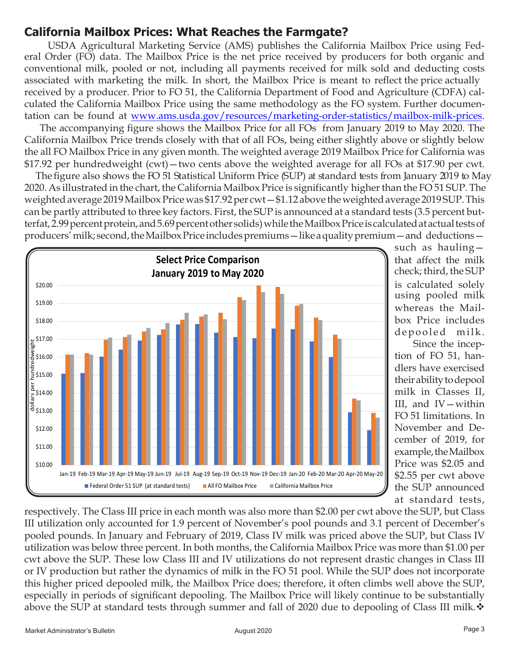## **California Mailbox Prices: What Reaches the Farmgate?**

USDA Agricultural Marketing Service (AMS) publishes the California Mailbox Price using Federal Order (FO) data. The Mailbox Price is the net price received by producers for both organic and conventional milk, pooled or not, including all payments received for milk sold and deducting costs associated with marketing the milk. In short, the Mailbox Price is meant to reflect the price actually received by a producer. Prior to FO 51, the California Department of Food and Agriculture (CDFA) calculated the California Mailbox Price using the same methodology as the FO system. Further documentation can be found at [www.ams.usda.gov/resources/marketing-order-statistics/mailbox-milk-prices.](www.ams.usda.gov/resources/marketing-order-statistics/mailbox-milk-prices)

 The accompanying figure shows the Mailbox Price for all FOs from January 2019 to May 2020. The California Mailbox Price trends closely with that of all FOs, being either slightly above or slightly below the all FO Mailbox Price in any given month. The weighted average 2019 Mailbox Price for California was \$17.92 per hundredweight (cwt)—two cents above the weighted average for all FOs at \$17.90 per cwt.

The figure also shows the FO 51 Statistical Uniform Price (SUP) at standard tests from January 2019 to May 2020. As illustrated in the chart, the California Mailbox Price is significantly higher than the FO 51 SUP. The weighted average 2019 Mailbox Price was \$17.92 per cwt—\$1.12 above the weighted average 2019 SUP. This can be partly attributed to three key factors. First, the SUP is announced at a standard tests (3.5 percent butterfat, 2.99 percent protein, and 5.69 percent other solids) while the Mailbox Price is calculated at actual tests of producers' milk; second, the Mailbox Price includes premiums — like a quality premium — and deductions —



whereas the Mailbox Price includes depooled milk. such as hauling using pooled milk

 Since the inception of FO 51, handlers have exercised their ability to depool milk in Classes II, III, and IV—within FO 51 limitations. In November and December of 2019, for example, the Mailbox Price was \$2.05 and \$2.55 per cwt above the SUP announced at standard tests,

respectively. The Class III price in each month was also more than \$2.00 per cwt above the SUP, but Class III utilization only accounted for 1.9 percent of November's pool pounds and 3.1 percent of December's pooled pounds. In January and February of 2019, Class IV milk was priced above the SUP, but Class IV utilization was below three percent. In both months, the California Mailbox Price was more than \$1.00 per cwt above the SUP. These low Class III and IV utilizations do not represent drastic changes in Class III or IV production but rather the dynamics of milk in the FO 51 pool. While the SUP does not incorporate this higher priced depooled milk, the Mailbox Price does; therefore, it often climbs well above the SUP, especially in periods of significant depooling. The Mailbox Price will likely continue to be substantially above the SUP at standard tests through summer and fall of 2020 due to depooling of Class III milk.  $\mathbf{\hat{v}}$